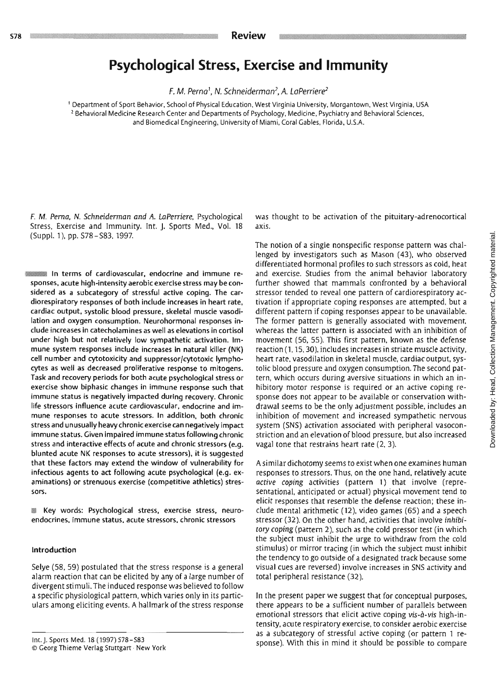# **Psychological Stress, Exercise and Immunity**

**F. M. Perno', N. Schneiderman2, A. laPerriere2** 

' Department of Sport Behavior. School of Physical Education. West Virginia University. Morgantown, West Virginia, USA <sup>2</sup> Behavioral Medicine Research Center and Departments of Psychology, Medicine, Psychiatry and Behavioral Sciences, and Biomedical Engineering, University of Miami. Coral Gables, Florida. U.S.A.

**F.** M. **Perno,** N. Schneideman and A. LaPerriere, Psychological Stress. Exercise and Immunity. Int. **J.** Sports Med., Vol. 18 (SUPPI. l), pp. S78 -S83, 1997.

In terms of cardiovascular. endocrine and immune responses, acute high-intensity aerobic exercise stress may be considered as a subcategory of stressful active coping. The cardiorespiratory responses of both include increases in heart rate, cardiac output, systolic blood pressure, skeletal muscle vasodilation and oxygen consumption. Neurohormonal responses include increases In catecholamines as well as elevations in cortisol under high but not relatively low sympathetic activation. Immune system responses include increases in natural killer (NK) cell number and cytotoxicity and suppressor/cytotoxic lymphocytes as well as decreased proliferative response to mitogens. Task and recovery periods for both acute psychological stress or exercise show biphasic changes in immune response such that immune status is negatively impacted during recovery. Chronic life stressors influence acute cardiovascular, endocrine and immune responses to acute stressors. In addition, both chronic stressand unusually heavy chronicexercisecan negatively impact immune status. Given impaired immune status following chronic stress and interactive effects of acute and chronic stressors (e.g. blunted acute NK responses to acute stressors), it is suggested that these factors may extend the window of vulnerability for infectious agents to act following acute psychological (e.g. examinations) or strenuous exercise (competitive athletics) stressors.

**EXECT:** Key words: Psychological stress, exercise stress, neuroendocrines. immune status, acute stressors, chronic stressors

#### Introduction

Selye (58, 59) postulated that the stress response is a general alarm reaction that can be elicited by any of a large number of divergent stimuli.The induced response was believed to follow a specific physiological pattern, which varies only in its particulars among eliciting events. A hallmark of the stress response

was thought to be activation of the pituitary-adrenocortical axis.

The notion of a single nonspecific response pattern was challenged by investigators such as Mason (43), who observed differentiated hormonal profiles to such stressors as cold, heat and exercise. Studies from the animal behavior laboratory further showed that mammals confronted by a behavioral stressor tended to reveal one pattern of cardiorespiratory activation if appropriate coping responses are attempted, but a different pattern if coping responses appear to be unavailable. The former pattern is generally associated with movement. whereas the latter pattern is associated with an inhibition of movement (56, 55). This first pattern. known as the defense reaction (1.15.30), includes increases in striate muscle activity, heart rate, vasodilation in skeletal muscle, cardiac output, systolic blood pressure and oxygen consumption. The second pattern, which occurs during aversive situations in which an inhibitory motor response is required or an active coping response does not appear to be available or conservation withdrawal seems to be the only adjustment possible. includes an inhibition of movement and increased sympathetic nervous system (SNS) activation associated with peripheral vasoconstriction and an elevation of blood pressure. but also increased vagal tone that restrains heart rate (2, 3).

Asimilar dichotomyseems to exist when one examines human responses to stressors. Thus, on the one hand. relatively acute active coping activities (pattern 1) that involve (representational, anticipated or actual) physical movement tend to elicit responses that resemble the defense reaction; these include mental arithmetic (12). video games (65) and a speech stressor (32). On the other hand, activities that involve inhibitoy **coping** (pattern 2), such as the cold pressor test (in which the subject must inhibit the urge to withdraw from the cold stimulus) or mirror tracing (in which the subject must inhibit the tendency to go outside of a designated track because some visual cues are reversed) involve increases in SNS activity and total peripheral resistance (32).

In the present paper we suggest that for conceptual purposes. there appears to be a sufficient number of parallels between emotional stressors that elicit active coping **vis-d-vis** high-intensity. acute respiratory exercise, to consider aerobic exercise as a subcategory of stressful active coping (or pattern 1 response). With this in mind it should be possible to compare

Inc. J. Sporrs Med. 18 **(1997) 578-583**  O Ceorg **Thieme** Verlag Stuttgart. **New** York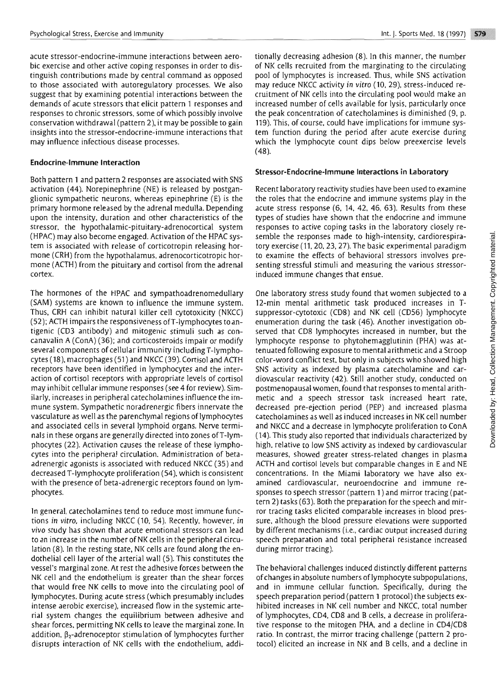acute stressor-endocrine-immune interactions between aerobic exercise and other active coping responses in order to distinguish contributions made by central command as opposed to those associated with autoregulatory processes. We also suggest that by examining potential interactions between the demands of acute stressors that elicit pattern 1 responses and responses to chronic stressors, some of which possibly involve conservation withdrawal (pattern 2), it may be possible to gain insights into the stressor-endocrine-immune interactions that may influence infectious disease processes.

#### Endocrine-Immune Interaction

Both pattern 1 and pattern 2 responses are associated with SNS activation (44). Norepinephrine (NE) is reIeased by postganglionic sympathetic neurons, whereas epinephrine (E) is the primary hormone released by the adrenal medulla. Depending upon the intensity, duration and other characteristics of the stressor, the hypothalamic-pituitary-adrenocortical system (HPAC) may also become engaged. Activation of the HPAC system is associated with release of corticotropin releasing hormone (CRH) from the hypothalamus, adrenocorticotropic hormone (ACTH) from the pituitary and cortisol from the adrenal cortex.

The hormones of the HPAC and sympathoadrenomedullary (SAM) systems are known to influence the immune system. Thus, CRH can inhibit natural killer cell cytotoxicity (NKCC)  $(52)$ ; ACTH impairs the responsiveness of T-lymphocytes to antigenic (CD3 antibody) and mitogenic stimuli such as concanavalin A (ConA) **(36);** and corticosteroids impair or modify several components of cellular immunity including T-lymphocytes (18), macrophages (51) and NKCC **(39).** Cortisol and **AflH**  receptors have been identified in lymphocytes and the interaction of cortisol receptors with appropriate levels of cortisol may inhibit cellular immune responses (see 4 for review). Similarly, increases in peripheral catecholamines influence the immune system. Sympathetic noradrenergic fibers innervate the vasculature as well as the parenchymal regions of lymphocytes and associated cells in several lymphoid organs. Nerve terminals in these organs are generally directed into zones ofT-lymphocytes (22). Activation causes the release of these lymphocytes into the peripheral circulation. Administration of betaadrenergic agonists is associated with reduced NKCC (35) and decreased T-lymphocyte proliferation (54). which is consistent with the presence of beta-adrenergic receptors found on lymphocytes.

In general, catecholamines tend to reduce most immune functions *in* **vitro,** including NI<CC (10, 54). Recently, however, *in*  **vivo** study has shown that acute emotional stressors can lead to an increase in the number of NK cells in the peripheral circulation (8). In the resting state, NK cells are found along the endothelial cell layer of the arterial wall *(5).* This constitutes the vessel's marginal zone. At rest the adhesive forces between the NK cell and the endothelium is greater than the shear forces that would free NK cells to move into the circulating pool of lymphocytes. During acute stress (which presumably includes intense aerobic exercise), increased flow in the systemic arterial system changes the equilibrium between adhesive and shear forces, permitting NK cells to leave the marginal zone. In addition,  $\beta_2$ -adrenoceptor stimulation of lymphocytes further disrupts interaction of NK cells with the endothelium, addi-

tionally decreasing adhesion (8). In this manner, the number of NK cells recruited from the marginating to the circulating pool of lymphocytes is increased. Thus, while SNS activation may reduce NKCC activity *in vitro* (10, **29),** stress-induced recruitment of NK cells into the circulating pool would make an increased number of cells available for lysis, particularly once the peak concentration of catecholamines is diminished (9, p. 119). This, of course, could have implications for immune system function during the period after acute exercise during which the lymphocyte count dips below preexercise levels (48).

#### Stressor-Endocrine-Immune Interactions in **Laboratory**

Recent laboratory reactivity studies have been used to examine the roles that the endocrine and immune systems play in the acute stress response *(6,* 14, 42, 46, 63). Results from these types of studies have shown that the endocrine and immune responses to active coping tasks in the laboratory closely resemble the responses made to high-intensity, cardiorespiratory exercise (11.20.23,27). The basic experimental paradigm to examine the effects of behavioral stressors involves presenting stressful stimuli and measuring the various stressorinduced immune changes that ensue.

One laboratory stress study found chat women subjected to a 12-min mental arithmetic task produced increases in Tsuppressor-cytotoxic (CD8) and NK cell (CD56) lymphocyte enumeration during the task (46). Another investigation observed that **CD8** lymphocytes increased in number, but the lymphocyte response to phytohemagglutinin (PHA) was attenuated following exposure to mental arithmetic and a Stroop color-word conflict test. but only in subjects who showed high SNS activity as indexed by plasma catecholamine and cardiovascular reactivity (42). Still another study, conducted on postmenopausal women, found that responses to mental arithmetic and a speech stressor task increased heart rate, decreased pre-ejection period (PEP) and increased plasma catecholarnines as well as induced increases **in** NK cell number and NKCC and a decrease in lymphocyte proliferation to ConA (14). This study also reported that individuals characterized by high. relative to low SNS activity as indexed by cardiovascular measures, showed greater stress-related changes in plasma ACTH and cortisol levels but comparable changes in E and NE concentrations. In the Miami laboratory we have also examined cardiovascular, neuroendocrine and immune responses to speech stressor (pattern **1** ) and mirror tracing (pattern 2) tasks (63). Both the preparation for the speech and mirror tracing tasks elicited comparable increases jn blood pressure, although the blood pressure elevations were supported by different mechanisms (i.e., cardiac output increased during speech preparation and total peripheral resistance increased during mirror tracing).

The behavioral challenges induced distinctly different patterns of changes in absolute numbers of lymphocyte subpopulations. and in immune cellular function. Specifically, during the speech preparation period (pattern 1 protocol) the subjects exhibited increases in **NI<** cell number and NKCC. total number of lymphocytes, CD4, CD8 and B cells, a decrease in proliferative response to the mitogen **PHA,** and a decline in CD4/CD8 ratio. In contrast, the mirror tracing challenge (pattern 2 protocol) elicited an increase in N1C and B cells, and a decline in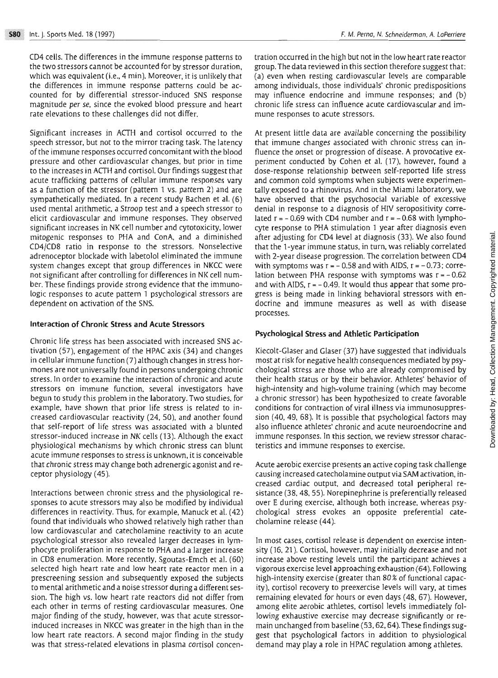CD4 cells. The differences in the immune response patterns to the two stressors cannot be accounted for by stressor duration, which was equivalent (i.e., 4 min). Moreover, it is unlikely that the differences in immune response patterns could be accounted for by differential stressor-induced SNS response magnitude per se, since the evoked blood pressure and heart rate elevations to these challenges did not differ.

Significant increases in ACTH and cortisol occurred to the speech stressor, but not to the mirror tracing task. The latency of the immune responses occurred concomitant with the blood pressure and other cardiovascular changes, but prior in time to the increases in ACTH and cortisol. Our findings suggest that acute trafficking patterns of cellular immune responses vary as a function of the stressor (pattern 1 vs. pattern 2) and are sympathetically mediated. In a recent study Bachen et al. (6) used mental arithmetic, a Stroop test and a speech stressor to elicit cardiovascular and immune responses. They observed significant increases in NK cell number and ytotoxicity, lower mitogenic responses to PHA and ConA, and a diminished CD4/CD8 ratio in response to the stressors. Nonselective adrenoceptor blockade with labetolol eliminated the immune system changes except that group differences in NKCC were not significant after controlling for differences in NK cell number. These findings provide strong evidence that the immunologic responses to acute pattern 1 psychological stressors are dependent on activation of the SNS.

#### Interaction of Chronic Stress and Acute Stressors

Chronic life stress has been associated with increased SNS activation (57). engagement of the HPAC axis (34) and changes in cellular immune function (7) although changes in stress hormones are not universally found in persons undergoing chronic stress. In order to examine the interaction of chronic and acute stressors on immune function, several investigators have begun to study this problem in the laboratory. Two studies. for example, have shown that prior life stress is related to increased cardiovascular reactivity (24, 50), and another found that self-report of life stress was associated with a blunted stressor-induced increase in **NI<** cells **(13).** Although the exact physiological mechanisms by which chronic stress can blunt acute immune responses to stress is unknown, it is conceivable that chronic stress may change both adrenergic agonist and receptor physiology (45).

Interactions between chronic stress and the physiological responses to acute stressors may also be modified by individual differences in reactivity. Thus, for example, Manuck et al. (42) found that individuals who showed relatively high rather than low cardiovascular and catecholamine reactivity to an acute psychological stressor also revealed larger decreases in lymphocyte proliferation in response to PHA and a larger increase in CD8 enumeration. More recently. Sgoutas-Emch et al. (60) selected high heart rate and low heart rate reactor men in a prescreening session and subsequently exposed the subjects to mental arithmetic and a noise stressor duringa different session. The high vs. low heart rate reactors did not differ from each other in terms of resting cardiovascular measures. One major finding of the study, however, was that acute stressorinduced increases in NKCC was greater in the high than in the low heart rate reactors. **A** second major finding in the study was that stress-related elevations in plasma cortisol concentration occurred in the high but not in thelow heart rate reactor group. The data reviewed in this section therefore suggest that: (a) even when resting cardiovascular levels are comparable among individuals, those individuals' chronic predispositions may influence endocrine and immune responses; and (b) chronic life stress can influence acute cardiovascular and immune responses to acute stressors.

At present little data are available concerning the possibility that immune changes associated with chronic stress can influence the onset or progression of disease. A provocative experiment conducted by Cohen et al. (17), however, found a dose-response relationship between self-reported life stress and common cold symptoms when subjects were experimentally exposed to a rhinovirus. And in the Miami laboratory, we have observed that the psychosocial variable of excessive denial in response to a diagnosis of HIV seropositivity correlated  $r = -0.69$  with CD4 number and  $r = -0.68$  with lymphocyte response to PHA stimulation 1 year after diagnosis even after adjusting for CD4 level at diagnosis (33). We also found that the 1-year immune status, in turn, was reliably correlated with 2-year disease progression. The correlation between CD4 with symptoms was  $r = -0.58$  and with AIDS,  $r = -0.73$ ; correlation between PHA response with symptoms was **r** = - 0.62 and with AIDS,  $r = -0.49$ . It would thus appear that some progress is being made in linking behavioral stressors with endocrine and immune measures as well as with disease processes.

#### Psychological Stress and Athletic Participation

Kiecolt-Glaser and Glaser (37) have suggested that individuals most at risk for negative health consequences mediated by psychological stress are those who are already compromised by their health status or by their behavior. Athletes' behavior of high-intensity and high-volume training (which may become a chronic stressor) has been hypothesized to create favorable conditions for contraction of viral illness via immunosuppression (40,49, 68). It is possible that psychological factors may also influence athletes' chronic and acute neuroendocrine and immune responses. In this section, we review stressor characteristics and immune responses to exercise.

Acute aerobic exercise presents an active coping task challenge causing increased catecholamine output via SAM activation, increased cardiac output, and decreased total peripheral resistance (38.48, 55). Norepinephrine is preferentially released over E during exercise, although both increase, whereas psychological stress evokes an opposite preferential catecholamine release (44).

In most cases, cortisol release is dependent on exercise intensity (16. 21). Cortisol, however, may initially decrease and not increase above resting levels until the participant achieves a vigorous exercise level approaching exhaustion (64). Following high-intensity exercise (greater than 80% of functional capacity), cortisol recovery to preexercise levels will vary, at times remaining elevated for hours or even days (48.67). However, among elite aerobic athletes, cortisol levels immediately following exhaustive exercise may decrease significantly or remain unchanged from baseline (53,62,64).These findings suggest that psychological factors in addition to physiological demand may play a role in HPAC regulation among athletes.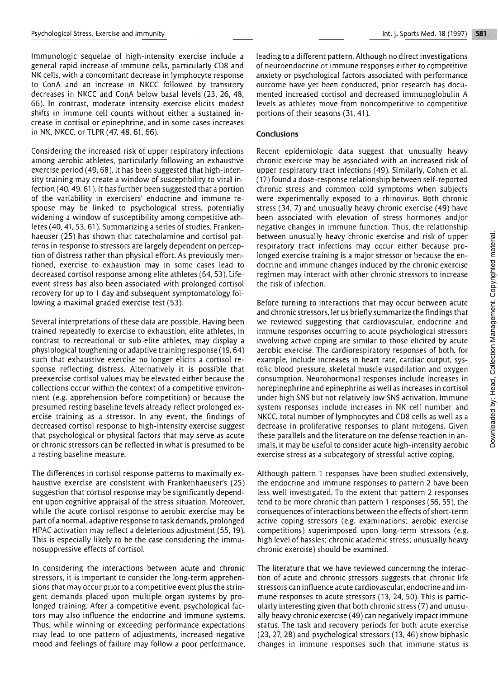immunologic sequelae of high-intensity exercise include a general rapid increase of immune cells. particularly CD8 and NK cells, with a concomitant decrease in lymphocyte response to ConA and an increase in NKCC followed by transitory decreases in NKCC and ConA below basal levels (23, 26, 48, 66). In contrast. moderate intensity exercise elicits modest shifts in immune cell counts without either a sustained increase in cortisol or epinephrine, and in some cases increases in NK. NKCC. or TLPR (47, 48, 61, 66).

Considering the increased risk of upper respiratory infections among aerobic athleres, particularly following an exhaustive exercise period (49,68). it has been suggesred that high-intensity training may create a window of susceptibility to viral infection (40,49,61). It has further been suggested that a portion of the variability in exercisers' endocrine and immune response may be linked to psychological stress, potentially widening a window of susceptibility among competitive athletes (40.41.53.61). Summarizinga series of studies, Frankenhaeuser (25) has shown that catecholamine and cortisol patterns in response to stressors are largely dependent on perception of distress rather than physical effort. As previously mentioned. exercise to exhaustion may in some cases lead to decreased cortisol response among elite athletes (64.53). Lifeevent stress has also been associated with prolonged cortisol recovery for up to 1 day and subsequent symptomatology following a maximal graded exercise test (53).

Several interpretations of these data are possible. Having been trained repeatedly to exercise to exhaustion, elite athletes, in contrast to recreational or sub-elite athletes, may display a physiological toughening or adaptive training response (19,64) such that exhaustive exercise no longer elicits a cortisol response reflecting distress. Alternatively it is possible that preexercise cortisol values may be elevated either because the collections occur within the context of a competitive environment (e.g. apprehension before competition) or because the presumed resting baseline levels already reflect prolonged exercise training as a stressor. In any event, the findings of decreased cortisol response to high-intensity exercise suggest chat psychological or physical factors that may serve as acute or chronic stressors can be reflected in what is presumed to be a resting baseline measure.

The differences in cortisol response patterns to maximally exhaustive exercise are consistent with Frankenhaeuser's (25) suggestion that cortisol response may be significantly dependent upon cognitive appraisal of the stress situation. Moreover, while the acute cortisol response to aerobic exercise may be part of a normal, adaptive response to task demands, prolonged HPAC activation may reflect a deleterious adjustment (55,19). This is especially likely to be the case considering the immunosuppressive effects of cortisol.

In considering the interactions between acute and chronic stressors, it is important to consider the long-term apprehensions that may occur prior to a competitive event plus the stringent demands placed upon multiple organ systems by prolonged training. After a competitive event, psychological factors may also influence the endocrine and immune systems. Thus, while winning or exceeding performance expectations may lead to one pattern of adjustments, increased negative mood and feelings of failure may follow a poor performance. leading to a different pattern. Although no direct investigations of neuroendocrine or immune responses either to competitive anxiety or psychological factors associated with performance outcome have yet been conducted, prior research has documented increased cortisol and decreased immunoglobulin A levels as athletes move from noncompetitive to competitive portions of their seasons (31,41).

## **Conclusions**

Recent epidemiologic data suggest that unusually heavy chronic exercise may be associated with an increased risk of upper respiratory tract infections (49). Similarly, Cohen et al. (17) found a dose-response relationship between self-reported chronic stress and common cold symptoms when subjects were experimentally exposed to a rhinovirus. Both chronic stress (34. 7) and unusually heavy chronic exercise (49) have been associated with elevation of stress hormones and/or negative changes in immune function. Thus, the relationship between unusually heavy chronic exercise and risk of upper respiratory tract infections may occur either because prolonged exercise training is a major stressor or because the endocrine and immune changes induced by the chronic exercise regimen may interact with other chronic stressors to increase the risk of infection.

Before turning to interactions that may occur between acute and chronic stressors, let us briefly summarize the findings that we reviewed suggesting that cardiovascular, endocrine and immune responses occurring to acute psychological stressors involving active coping are similar to those elicited by acute aerobic exercise. The cardiorespiratory responses of both, for example, include increases in heart rate, cardiac output, systolic blood pressure, skeletal muscle vasodilation and oxygen consumption. Neurohormonal responses include increases in norepinephrine and epinephrine as well as increases in cortisol under high SNS but not relatively low SNS activation. Immune system responses include increases in NK cell number and NKCC, total number of lymphocytes and CD8 cells as well as a decrease in proliferative responses to plant mitogens. Given these parallels and the literature on the defense reaction in animals, it may be useful to consider acute high-intensity aerobic exercise stress as a subcategory of stressful active coping.

Although pattern 1 responses have been studied extensively, the endocrine and immune responses to pattern 2 have been less well investigated. To the extent that pattern 2 responses tend to be more chronic than pattern 1 responses (56.55). the consequences of interactions between the effects of short-term active coping stressors (e,g. examinations: aerobic exercise competitions) superimposed upon long-term stressors (e.g. high level of hassles; chronic academic stress; unusually heavy chronic exercise) should be examined.

The literature that we have reviewed concerning the interaction of acute and chronic stressors suggests that chronic life stressors can influence acute cardiovascular, endocrineand immune responses to acute stressors (13. 24, 50). This is particularly interesting gven that both chronic stress (7) and unusually heavy chronic exercise (49) can negatively impact immune status. The task and recovery periods for both acute exercise (23, 27, 28) and psychological stressors (13,46) show biphasic changes in immune responses such that immune status is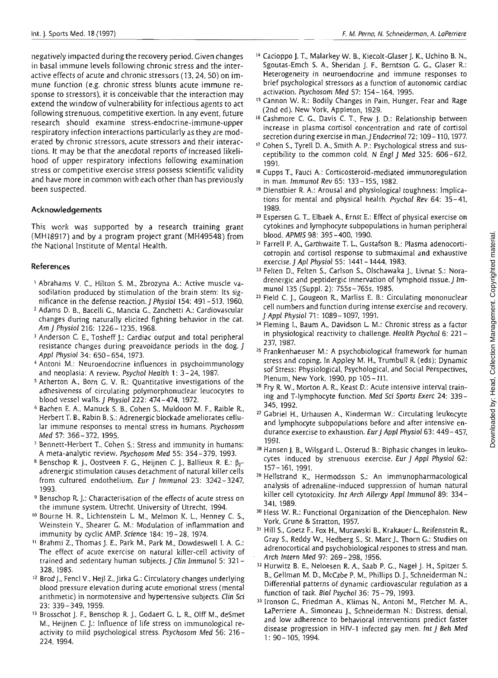negatively impacted during the recovery period. Given changes in basal immune levels following chronic stress and the interactive effects of acute and chronic stressors **(13,24,50)** on immune function (e.g. chronic stress blunts acute immune response to stressors), it is conceivable that the interaction may extend the window of vulnerability for infectious agents to act following strenuous, competitive exertion. In any event, future research should examine stress-endocrine-immune-upper respiratory infection interactions particularly as they are moderated by chronic stressors, acute stressors and their interactions. It may be that the anecdotal reports of increased likelihood of upper respiratory infections following examination stress or competitive exercise stress possess scientific validity and have more in common with each other than has previously been suspected.

### **Acknowledgements**

This work was supported by a research training grant (MH18917) and by a program project grant (MH49548) from the National Institute of Mental Health.

# **References**

- Abrahams V. C.. Hilton S. M., Zbrozyna A.: Active muscle vasodilation produced by stimulation of the brain stem: Its significance in the defense reaction. J Physiol 154: 491-513, 1960.
- Adams D. B., Bacelli G.. Mancia **G..** Zanchetti A: Cardiovascular changes during naturally elicited fighting behavior in the cat. Am **J** Physiol216: 1226- 1235, 1968.
- **<sup>3</sup>**Anderson C. E., Tosheff J.: Cardiac output and total peripheral resistance changes during preavoidance periods in the dog. J Appl Physiol 34: 650-654, 1973.
- Antoni M.: Neuroendocrine influences in psychoimmunology and neoplasia: **A** review. Psychol Health 1: 3-24. 1987.
- Atherton **A,.** Born **C.** V. R.: Quantitative investigations of the adhesiveness of circulating polymorphonuclear leucocytes to blood vessel walls. J Physiol 222: 474-474, 1972.
- Qachen **E. A.,** Manuck S. **0..** Cohen S.. Muldoon M. F.. Raible R, Herbert T. **B..** Rabin **0.** S.: Adrenergic blockade ameliorates cellular immune responses to mental stress in humans. Psychosom Med 57: 366-372. 1995.
- Bennett-Herbert T., Cohen S.: Stress and immunity in humans: **A** mera-analytic review. Psychosom Med 55: 354-379, 1993.
- Benschop R J., Oostveen F. G., Heijnen C. J., Ballieux R. **E.: P,**  adrenergic stimulation causes detachment of natural killer cells from cultured endothelium. *Eur* J lrnrnunol 23: 3242-3247, 1993.
- **<sup>g</sup>**Benschop R J.: Characterisation of the effects **of** acute stress on the immune system. Utrecht. University of Utrecht. 1994.
- **lo** Bourne H. R.. Lichtenstein L M.. Melmon K. L.. Henney C. S., Weinstein Y.. Shearer **G.** M.: Modulation of inflammation and immunity by cycljc AMP. Science 184: 19-28, 1974.
- **'1** Brahmi **2..** Thomas J. E., Park M.. Park M., Dowdeswell I. A. G.: The effect of acute exercise on narural killer-cell activity of trained and sedentary human subjects. J Clin Immunol 5: 321-328. 1985.
- **l2** Brod]., Fencl V.. Hejl **2..** Jirka G.: Circulatory changes underlying blood pressure elevation during acute emotional stress (mental arithmetic) in normotensive and hypertensive subjects. Clin **Sci**  23: 339-349.1959.
- **l3** Brosschot 1. **F.,** Benschop R J.. Godaert **C.** L R.. Olff M.. deSmet M.. Heijnen C. J.: Influence of life stress on immunological reactivity to mild psychological stress. Psychosom Med 56: 216- 224, 1994.
- **l4** Cacioppo **1. T..** Malarkey W. **0..** Kiecolt-Glaser J. **K.,** Uchino **B.** N., Sgoutas-Emch **5. A..** Sheridan **5. F..** Berntson G. G.. Claser R.: Heterogeneity in neuroendocrine and immune responses to brief psychological stressors as a function of autonomic cardiac activation. Psychosom Med 57: 154- 164. 1995.
- **l5** Cannon W. R.: Bodily Changes in Pain, Hunger. Fear and Rage (2nd ed). New York, Appleton, 1929.
- **l6** Cashmore C. **G.,** Davis C. T., Few J. D.: Relationship between increase in plasma cortisol concentration and rate of cortisol secretion during exercise in man. J Endocrinol 72: 109 - 110, 1977.
- **t7** Cohen S., Tyrell D. **A.,** Smith A. P,: Psychological stress and susceptibility to the common cold. **N** Engl j Med 325: 606-612. 1991.
- **<sup>18</sup>**Cupps T.. Fauci A.: Corticosteroid-mediated immunoregulation in man. Immunol Rev 65: 133 - 155, 1982.
- **'9** Dienstbier R. **A.:** Arousal and physiological toughness: Implications for mental and physical health. Psychol Rev 64: 35-41. 1989.
- **<sup>20</sup>**Espersen G. T.. Elbaek A., Ernst E.: Effect of physical exercise on cytokines and lymphocyte subpopulations in human peripheral blood. APMlS 98: 395-400. 1990.
- **21** Farrell P. 4 Garthwaite T. L. Gustafson B.: Plasma adenocorticotropin and cortisol response to submaximal and exhaustive exercise. J Apl Physiol 55: 1441 - 1444. 1983.
- **22** Felten D.. Felten S.. Carlson S.. Olschawaka 1.. Livnat S.: Noradrenergic and peptidergic innervation of lymphoid tissue. *J Im*munol 135 (Suppl. 2): 755s-765s. 1985.
- **<sup>23</sup>**Field C. J., Cougeon R, Marliss E. B.: Circulating mononuclear cell numbers and function during intense exercise and recovery. J Appl Physiol 71: 1089 - 1097, 1991.
- **z4** Fleming I.. Baum A.. Davidson L M.: Chronic stress as a factor in physiological reactivity to challenge. Health Psychol 6: 221-237,1987.
- **<sup>25</sup>**Frankenhaeuser M.: A psychobiological framework for human stress and coping. In Appley M. H., Trumbull R (eds): Dynamic sof Stress: Physiological, Psychological, and Social Perspectives, Plenum, New York, 1990, pp 105 - 111.
- **26 Fry** R W., Morton **A.** R.. Iceast **D.:** Acute intensive interval training and T-lymphocyte function. Med Sci Sports **Exerc** 24: 339- 345.1992.
- Gabriel H.. Urhausen A.. Kinderman W.: Circulating leukocyte and lymphocyte subpopulations before and after intensive endurance exercise to exhaustion. Eur J Appl Physiol 63: 449-457. 1991.
- **28** Hansen J. B., Wilsgard L.. Osterud B.: Biphasic changes in leukocytes induced by strenuous exercise. Eur J Appl Physiol 62: 157- 161, 1991,
- **<sup>29</sup>**Hellstrand K., Hermodsson 5.: An immunopharmacological analysis of adrenaline-induced suppression of human natural killer cell cytotoxicity. Int Arch Allergy Appl Immunol 89: 334-341. 1989.
- <sup>30</sup> Hess W. R.: Functional Organization of the Diencephalon. New York, Grune & Stratton, 1957.
- Hill S., Goetz F., Fox H.. Murawski B.. Krakauer **L.** Reifenstein **R,**  Gray S., Reddy W., Hedberg S., St. Marc J.. Thorn C.: Studies on adrenocortical and psychobiological respones to stress and man. Arch lntern Med 97: 269-298. 1956.
- **<sup>32</sup>**Hurwitz B. E., Neloesen R. A., Saab **P.** G.. Nagel J. H., Spitzer S. B. Gellman M. D., McCabe P. M.. Phillips **D.** J., Schneiderman **N.:**  Differential patterns of dynamic cardiovascular regulation as a function of task. Biol Psyrhol 36: 75-79, 1993.
- 33 Ironson G., Friedman A., Klimas N., Antoni M., Fletcher M. A., LaPerriere A., Simoneau J., Schneiderman N.: Distress, denial, and low adherence to behavioral interventions predict faster disease progression in HIV-1 infected gay men. Int J Beh Med <sup>1</sup>: 90- 105.1994.